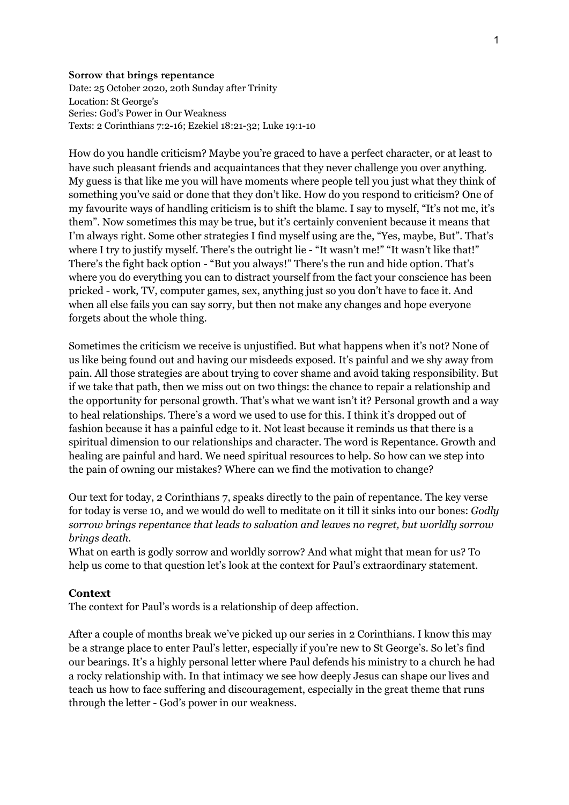## **Sorrow that brings repentance**

Date: 25 October 2020, 20th Sunday after Trinity Location: St George's Series: God's Power in Our Weakness Texts: 2 Corinthians 7:2-16; Ezekiel 18:21-32; Luke 19:1-10

How do you handle criticism? Maybe you're graced to have a perfect character, or at least to have such pleasant friends and acquaintances that they never challenge you over anything. My guess is that like me you will have moments where people tell you just what they think of something you've said or done that they don't like. How do you respond to criticism? One of my favourite ways of handling criticism is to shift the blame. I say to myself, "It's not me, it's them". Now sometimes this may be true, but it's certainly convenient because it means that I'm always right. Some other strategies I find myself using are the, "Yes, maybe, But". That's where I try to justify myself. There's the outright lie - "It wasn't me!" "It wasn't like that!" There's the fight back option - "But you always!" There's the run and hide option. That's where you do everything you can to distract yourself from the fact your conscience has been pricked - work, TV, computer games, sex, anything just so you don't have to face it. And when all else fails you can say sorry, but then not make any changes and hope everyone forgets about the whole thing.

Sometimes the criticism we receive is unjustified. But what happens when it's not? None of us like being found out and having our misdeeds exposed. It's painful and we shy away from pain. All those strategies are about trying to cover shame and avoid taking responsibility. But if we take that path, then we miss out on two things: the chance to repair a relationship and the opportunity for personal growth. That's what we want isn't it? Personal growth and a way to heal relationships. There's a word we used to use for this. I think it's dropped out of fashion because it has a painful edge to it. Not least because it reminds us that there is a spiritual dimension to our relationships and character. The word is Repentance. Growth and healing are painful and hard. We need spiritual resources to help. So how can we step into the pain of owning our mistakes? Where can we find the motivation to change?

Our text for today, 2 Corinthians 7, speaks directly to the pain of repentance. The key verse for today is verse 10, and we would do well to meditate on it till it sinks into our bones: *Godly sorrow brings repentance that leads to salvation and leaves no regret, but worldly sorrow brings death.*

What on earth is godly sorrow and worldly sorrow? And what might that mean for us? To help us come to that question let's look at the context for Paul's extraordinary statement.

## **Context**

The context for Paul's words is a relationship of deep affection.

After a couple of months break we've picked up our series in 2 Corinthians. I know this may be a strange place to enter Paul's letter, especially if you're new to St George's. So let's find our bearings. It's a highly personal letter where Paul defends his ministry to a church he had a rocky relationship with. In that intimacy we see how deeply Jesus can shape our lives and teach us how to face suffering and discouragement, especially in the great theme that runs through the letter - God's power in our weakness.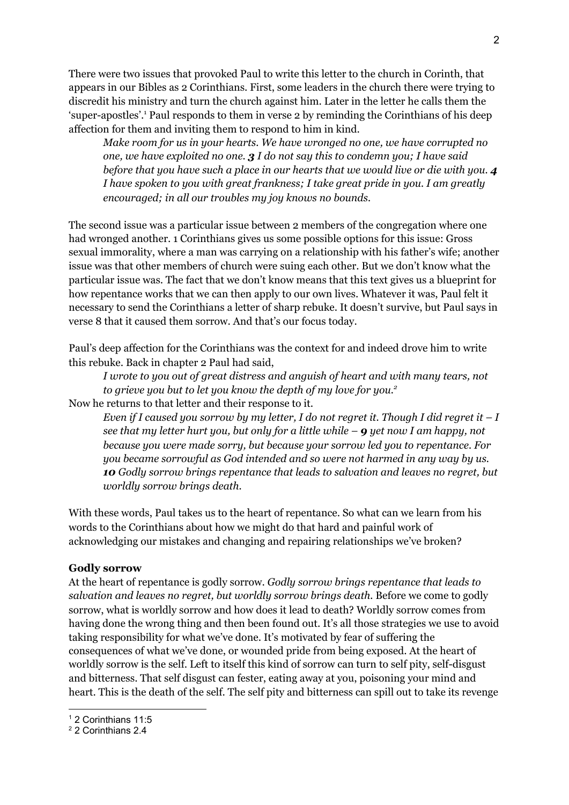There were two issues that provoked Paul to write this letter to the church in Corinth, that appears in our Bibles as 2 Corinthians. First, some leaders in the church there were trying to discredit his ministry and turn the church against him. Later in the letter he calls them the 'super-apostles'. <sup>1</sup> Paul responds to them in verse 2 by reminding the Corinthians of his deep affection for them and inviting them to respond to him in kind.

*Make room for us in your hearts. We have wronged no one, we have corrupted no one, we have exploited no one. 3 I do not say this to condemn you; I have said before that you have such a place in our hearts that we would live or die with you. 4 I have spoken to you with great frankness; I take great pride in you. I am greatly encouraged; in all our troubles my joy knows no bounds.*

The second issue was a particular issue between 2 members of the congregation where one had wronged another. 1 Corinthians gives us some possible options for this issue: Gross sexual immorality, where a man was carrying on a relationship with his father's wife; another issue was that other members of church were suing each other. But we don't know what the particular issue was. The fact that we don't know means that this text gives us a blueprint for how repentance works that we can then apply to our own lives. Whatever it was, Paul felt it necessary to send the Corinthians a letter of sharp rebuke. It doesn't survive, but Paul says in verse 8 that it caused them sorrow. And that's our focus today.

Paul's deep affection for the Corinthians was the context for and indeed drove him to write this rebuke. Back in chapter 2 Paul had said,

*I wrote to you out of great distress and anguish of heart and with many tears, not to grieve you but to let you know the depth of my love for you. 2* Now he returns to that letter and their response to it.

Even if I caused you sorrow by my letter, I do not regret it. Though I did regret it  $-I$ *see that my letter hurt you, but only for a little while – 9 yet now I am happy, not because you were made sorry, but because your sorrow led you to repentance. For you became sorrowful as God intended and so were not harmed in any way by us. 10 Godly sorrow brings repentance that leads to salvation and leaves no regret, but worldly sorrow brings death.*

With these words, Paul takes us to the heart of repentance. So what can we learn from his words to the Corinthians about how we might do that hard and painful work of acknowledging our mistakes and changing and repairing relationships we've broken?

## **Godly sorrow**

At the heart of repentance is godly sorrow. *Godly sorrow brings repentance that leads to salvation and leaves no regret, but worldly sorrow brings death.* Before we come to godly sorrow, what is worldly sorrow and how does it lead to death? Worldly sorrow comes from having done the wrong thing and then been found out. It's all those strategies we use to avoid taking responsibility for what we've done. It's motivated by fear of suffering the consequences of what we've done, or wounded pride from being exposed. At the heart of worldly sorrow is the self. Left to itself this kind of sorrow can turn to self pity, self-disgust and bitterness. That self disgust can fester, eating away at you, poisoning your mind and heart. This is the death of the self. The self pity and bitterness can spill out to take its revenge

<sup>1</sup> 2 Corinthians 11:5

<sup>2</sup> 2 Corinthians 2.4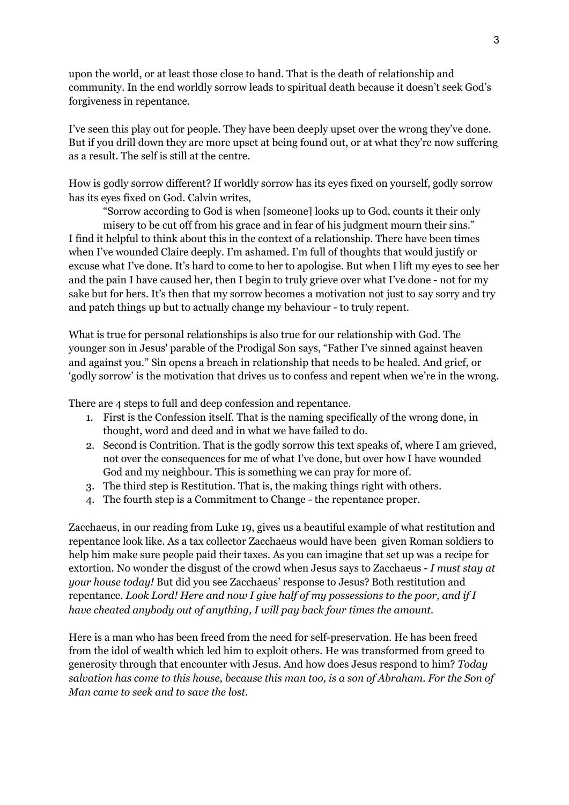upon the world, or at least those close to hand. That is the death of relationship and community. In the end worldly sorrow leads to spiritual death because it doesn't seek God's forgiveness in repentance.

I've seen this play out for people. They have been deeply upset over the wrong they've done. But if you drill down they are more upset at being found out, or at what they're now suffering as a result. The self is still at the centre.

How is godly sorrow different? If worldly sorrow has its eyes fixed on yourself, godly sorrow has its eyes fixed on God. Calvin writes,

"Sorrow according to God is when [someone] looks up to God, counts it their only misery to be cut off from his grace and in fear of his judgment mourn their sins." I find it helpful to think about this in the context of a relationship. There have been times when I've wounded Claire deeply. I'm ashamed. I'm full of thoughts that would justify or excuse what I've done. It's hard to come to her to apologise. But when I lift my eyes to see her and the pain I have caused her, then I begin to truly grieve over what I've done - not for my sake but for hers. It's then that my sorrow becomes a motivation not just to say sorry and try and patch things up but to actually change my behaviour - to truly repent.

What is true for personal relationships is also true for our relationship with God. The younger son in Jesus' parable of the Prodigal Son says, "Father I've sinned against heaven and against you." Sin opens a breach in relationship that needs to be healed. And grief, or 'godly sorrow' is the motivation that drives us to confess and repent when we're in the wrong.

There are 4 steps to full and deep confession and repentance.

- 1. First is the Confession itself. That is the naming specifically of the wrong done, in thought, word and deed and in what we have failed to do.
- 2. Second is Contrition. That is the godly sorrow this text speaks of, where I am grieved, not over the consequences for me of what I've done, but over how I have wounded God and my neighbour. This is something we can pray for more of.
- 3. The third step is Restitution. That is, the making things right with others.
- 4. The fourth step is a Commitment to Change the repentance proper.

Zacchaeus, in our reading from Luke 19, gives us a beautiful example of what restitution and repentance look like. As a tax collector Zacchaeus would have been given Roman soldiers to help him make sure people paid their taxes. As you can imagine that set up was a recipe for extortion. No wonder the disgust of the crowd when Jesus says to Zacchaeus - *I must stay at your house today!* But did you see Zacchaeus' response to Jesus? Both restitution and repentance. *Look Lord! Here and now I give half of my possessions to the poor, and if I have cheated anybody out of anything, I will pay back four times the amount.*

Here is a man who has been freed from the need for self-preservation. He has been freed from the idol of wealth which led him to exploit others. He was transformed from greed to generosity through that encounter with Jesus. And how does Jesus respond to him? *Today salvation has come to this house, because this man too, is a son of Abraham. For the Son of Man came to seek and to save the lost.*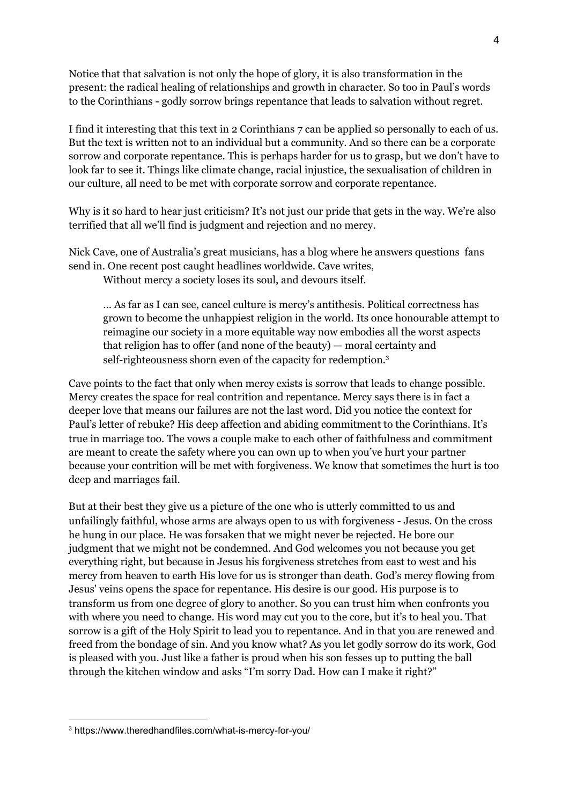Notice that that salvation is not only the hope of glory, it is also transformation in the present: the radical healing of relationships and growth in character. So too in Paul's words to the Corinthians - godly sorrow brings repentance that leads to salvation without regret.

I find it interesting that this text in 2 Corinthians 7 can be applied so personally to each of us. But the text is written not to an individual but a community. And so there can be a corporate sorrow and corporate repentance. This is perhaps harder for us to grasp, but we don't have to look far to see it. Things like climate change, racial injustice, the sexualisation of children in our culture, all need to be met with corporate sorrow and corporate repentance.

Why is it so hard to hear just criticism? It's not just our pride that gets in the way. We're also terrified that all we'll find is judgment and rejection and no mercy.

Nick Cave, one of Australia's great musicians, has a blog where he answers questions fans send in. One recent post caught headlines worldwide. Cave writes,

Without mercy a society loses its soul, and devours itself.

… As far as I can see, cancel culture is mercy's antithesis. Political correctness has grown to become the unhappiest religion in the world. Its once honourable attempt to reimagine our society in a more equitable way now embodies all the worst aspects that religion has to offer (and none of the beauty) — moral certainty and self-righteousness shorn even of the capacity for redemption. 3

Cave points to the fact that only when mercy exists is sorrow that leads to change possible. Mercy creates the space for real contrition and repentance. Mercy says there is in fact a deeper love that means our failures are not the last word. Did you notice the context for Paul's letter of rebuke? His deep affection and abiding commitment to the Corinthians. It's true in marriage too. The vows a couple make to each other of faithfulness and commitment are meant to create the safety where you can own up to when you've hurt your partner because your contrition will be met with forgiveness. We know that sometimes the hurt is too deep and marriages fail.

But at their best they give us a picture of the one who is utterly committed to us and unfailingly faithful, whose arms are always open to us with forgiveness - Jesus. On the cross he hung in our place. He was forsaken that we might never be rejected. He bore our judgment that we might not be condemned. And God welcomes you not because you get everything right, but because in Jesus his forgiveness stretches from east to west and his mercy from heaven to earth His love for us is stronger than death. God's mercy flowing from Jesus' veins opens the space for repentance. His desire is our good. His purpose is to transform us from one degree of glory to another. So you can trust him when confronts you with where you need to change. His word may cut you to the core, but it's to heal you. That sorrow is a gift of the Holy Spirit to lead you to repentance. And in that you are renewed and freed from the bondage of sin. And you know what? As you let godly sorrow do its work, God is pleased with you. Just like a father is proud when his son fesses up to putting the ball through the kitchen window and asks "I'm sorry Dad. How can I make it right?"

<sup>3</sup> https://www.theredhandfiles.com/what-is-mercy-for-you/